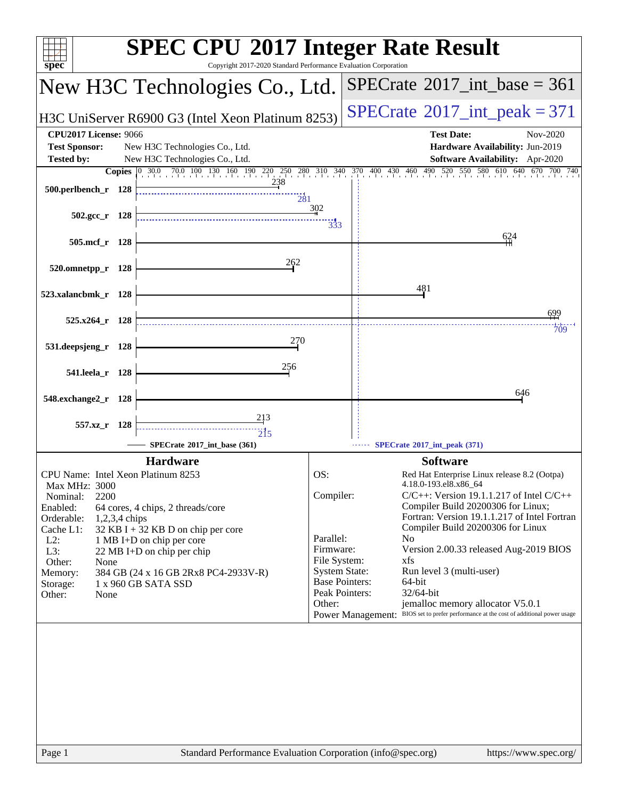| $spec^*$                                                                                                                                                                                                                                                                                                                                                                                                           | <b>SPEC CPU®2017 Integer Rate Result</b><br>Copyright 2017-2020 Standard Performance Evaluation Corporation                                                                                                                                                                                                                                                                                                                                                                                                                                                                                                                               |
|--------------------------------------------------------------------------------------------------------------------------------------------------------------------------------------------------------------------------------------------------------------------------------------------------------------------------------------------------------------------------------------------------------------------|-------------------------------------------------------------------------------------------------------------------------------------------------------------------------------------------------------------------------------------------------------------------------------------------------------------------------------------------------------------------------------------------------------------------------------------------------------------------------------------------------------------------------------------------------------------------------------------------------------------------------------------------|
| New H3C Technologies Co., Ltd.                                                                                                                                                                                                                                                                                                                                                                                     | $SPECTate$ <sup>®</sup> 2017_int_base = 361                                                                                                                                                                                                                                                                                                                                                                                                                                                                                                                                                                                               |
| H3C UniServer R6900 G3 (Intel Xeon Platinum 8253)                                                                                                                                                                                                                                                                                                                                                                  | $SPECTate$ <sup>®</sup> 2017_int_peak = 371                                                                                                                                                                                                                                                                                                                                                                                                                                                                                                                                                                                               |
| <b>CPU2017 License: 9066</b><br><b>Test Sponsor:</b><br>New H3C Technologies Co., Ltd.<br><b>Tested by:</b><br>New H3C Technologies Co., Ltd.                                                                                                                                                                                                                                                                      | <b>Test Date:</b><br>Nov-2020<br>Hardware Availability: Jun-2019<br>Software Availability: Apr-2020                                                                                                                                                                                                                                                                                                                                                                                                                                                                                                                                       |
| <b>Copies</b><br>238<br>500.perlbench_r 128                                                                                                                                                                                                                                                                                                                                                                        | 550 580 610 640 670<br>370 400 430 460 490 520<br>700 740<br>$\frac{1}{281}$                                                                                                                                                                                                                                                                                                                                                                                                                                                                                                                                                              |
| 502.gcc_r 128                                                                                                                                                                                                                                                                                                                                                                                                      | 302<br>333                                                                                                                                                                                                                                                                                                                                                                                                                                                                                                                                                                                                                                |
| 505.mcf_r 128                                                                                                                                                                                                                                                                                                                                                                                                      | 624                                                                                                                                                                                                                                                                                                                                                                                                                                                                                                                                                                                                                                       |
| 520.omnetpp_r 128                                                                                                                                                                                                                                                                                                                                                                                                  | 262                                                                                                                                                                                                                                                                                                                                                                                                                                                                                                                                                                                                                                       |
| 523.xalancbmk_r 128                                                                                                                                                                                                                                                                                                                                                                                                | 481<br>699                                                                                                                                                                                                                                                                                                                                                                                                                                                                                                                                                                                                                                |
| $525.x264$ r 128                                                                                                                                                                                                                                                                                                                                                                                                   | 709<br>270                                                                                                                                                                                                                                                                                                                                                                                                                                                                                                                                                                                                                                |
| 531.deepsjeng_r 128                                                                                                                                                                                                                                                                                                                                                                                                | 256                                                                                                                                                                                                                                                                                                                                                                                                                                                                                                                                                                                                                                       |
| 541.leela_r 128                                                                                                                                                                                                                                                                                                                                                                                                    | 646                                                                                                                                                                                                                                                                                                                                                                                                                                                                                                                                                                                                                                       |
| 548.exchange2_r 128<br><u>213</u><br>557.xz r 128                                                                                                                                                                                                                                                                                                                                                                  |                                                                                                                                                                                                                                                                                                                                                                                                                                                                                                                                                                                                                                           |
| $\overline{215}$<br>SPECrate®2017 int base (361)                                                                                                                                                                                                                                                                                                                                                                   | SPECrate®2017_int_peak (371)                                                                                                                                                                                                                                                                                                                                                                                                                                                                                                                                                                                                              |
| <b>Hardware</b>                                                                                                                                                                                                                                                                                                                                                                                                    | <b>Software</b><br>OS:                                                                                                                                                                                                                                                                                                                                                                                                                                                                                                                                                                                                                    |
| CPU Name: Intel Xeon Platinum 8253<br>Max MHz: 3000<br>2200<br>Nominal:<br>Enabled:<br>64 cores, 4 chips, 2 threads/core<br>Orderable:<br>$1,2,3,4$ chips<br>Cache L1:<br>32 KB I + 32 KB D on chip per core<br>$L2$ :<br>1 MB I+D on chip per core<br>L3:<br>22 MB I+D on chip per chip<br>Other:<br>None<br>384 GB (24 x 16 GB 2Rx8 PC4-2933V-R)<br>Memory:<br>1 x 960 GB SATA SSD<br>Storage:<br>Other:<br>None | Red Hat Enterprise Linux release 8.2 (Ootpa)<br>4.18.0-193.el8.x86 64<br>Compiler:<br>$C/C++$ : Version 19.1.1.217 of Intel $C/C++$<br>Compiler Build 20200306 for Linux;<br>Fortran: Version 19.1.1.217 of Intel Fortran<br>Compiler Build 20200306 for Linux<br>Parallel:<br>N <sub>0</sub><br>Firmware:<br>Version 2.00.33 released Aug-2019 BIOS<br>File System:<br>xfs<br><b>System State:</b><br>Run level 3 (multi-user)<br><b>Base Pointers:</b><br>64-bit<br>Peak Pointers:<br>32/64-bit<br>Other:<br>jemalloc memory allocator V5.0.1<br>Power Management: BIOS set to prefer performance at the cost of additional power usage |
| Page 1                                                                                                                                                                                                                                                                                                                                                                                                             | Standard Performance Evaluation Corporation (info@spec.org)<br>https://www.spec.org/                                                                                                                                                                                                                                                                                                                                                                                                                                                                                                                                                      |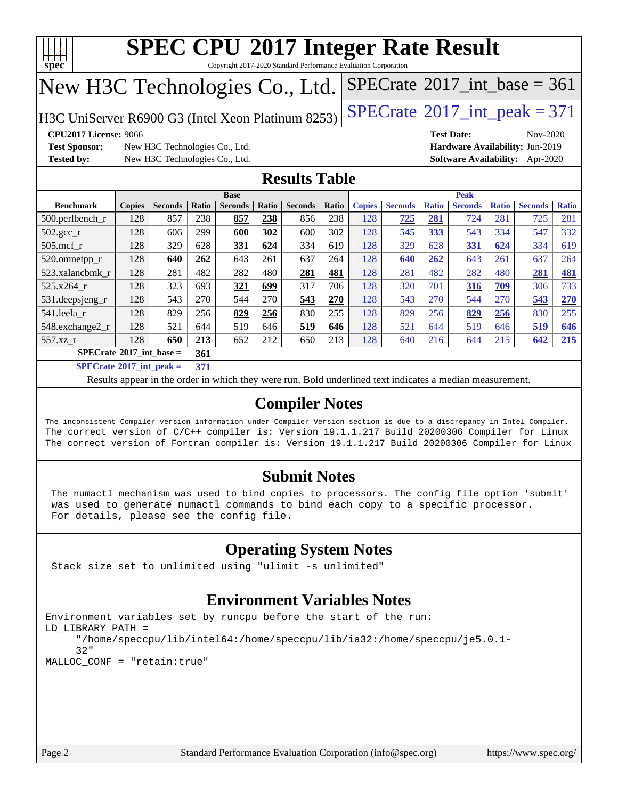

Copyright 2017-2020 Standard Performance Evaluation Corporation

# New H3C Technologies Co., Ltd.

H3C UniServer R6900 G3 (Intel Xeon Platinum 8253)  $\left|$  [SPECrate](http://www.spec.org/auto/cpu2017/Docs/result-fields.html#SPECrate2017intpeak)®[2017\\_int\\_peak = 3](http://www.spec.org/auto/cpu2017/Docs/result-fields.html#SPECrate2017intpeak)71

 $SPECTate$ <sup>®</sup>[2017\\_int\\_base =](http://www.spec.org/auto/cpu2017/Docs/result-fields.html#SPECrate2017intbase) 361

**[Test Sponsor:](http://www.spec.org/auto/cpu2017/Docs/result-fields.html#TestSponsor)** New H3C Technologies Co., Ltd. **[Hardware Availability:](http://www.spec.org/auto/cpu2017/Docs/result-fields.html#HardwareAvailability)** Jun-2019 **[Tested by:](http://www.spec.org/auto/cpu2017/Docs/result-fields.html#Testedby)** New H3C Technologies Co., Ltd. **[Software Availability:](http://www.spec.org/auto/cpu2017/Docs/result-fields.html#SoftwareAvailability)** Apr-2020

**[CPU2017 License:](http://www.spec.org/auto/cpu2017/Docs/result-fields.html#CPU2017License)** 9066 **[Test Date:](http://www.spec.org/auto/cpu2017/Docs/result-fields.html#TestDate)** Nov-2020

### **[Results Table](http://www.spec.org/auto/cpu2017/Docs/result-fields.html#ResultsTable)**

|                                                                                                     | <b>Base</b>   |                |         |                |       |                | <b>Peak</b> |               |                |              |                |              |                |              |
|-----------------------------------------------------------------------------------------------------|---------------|----------------|---------|----------------|-------|----------------|-------------|---------------|----------------|--------------|----------------|--------------|----------------|--------------|
| <b>Benchmark</b>                                                                                    | <b>Copies</b> | <b>Seconds</b> | Ratio   | <b>Seconds</b> | Ratio | <b>Seconds</b> | Ratio       | <b>Copies</b> | <b>Seconds</b> | <b>Ratio</b> | <b>Seconds</b> | <b>Ratio</b> | <b>Seconds</b> | <b>Ratio</b> |
| 500.perlbench_r                                                                                     | 128           | 857            | 238     | 857            | 238   | 856            | 238         | 128           | 725            | 281          | 724            | 281          | 725            | 281          |
| $502.\text{gcc}$ _r                                                                                 | 128           | 606            | 299     | 600            | 302   | 600            | 302         | 128           | 545            | 333          | 543            | 334          | 547            | 332          |
| $505$ .mcf r                                                                                        | 128           | 329            | 628     | 331            | 624   | 334            | 619         | 128           | 329            | 628          | 331            | 624          | 334            | 619          |
| 520.omnetpp_r                                                                                       | 128           | 640            | 262     | 643            | 261   | 637            | 264         | 128           | 640            | 262          | 643            | 261          | 637            | 264          |
| 523.xalancbmk r                                                                                     | 128           | 281            | 482     | 282            | 480   | 281            | 481         | 128           | 281            | 482          | 282            | 480          | 281            | 481          |
| 525.x264 r                                                                                          | 128           | 323            | 693     | 321            | 699   | 317            | 706         | 128           | 320            | 701          | 316            | 709          | 306            | 733          |
| 531.deepsjeng_r                                                                                     | 128           | 543            | 270     | 544            | 270   | 543            | 270         | 128           | 543            | 270          | 544            | 270          | 543            | 270          |
| 541.leela r                                                                                         | 128           | 829            | 256     | 829            | 256   | 830            | 255         | 128           | 829            | 256          | 829            | 256          | 830            | 255          |
| 548.exchange2_r                                                                                     | 128           | 521            | 644     | 519            | 646   | 519            | 646         | 128           | 521            | 644          | 519            | 646          | 519            | 646          |
| 557.xz r                                                                                            | 128           | 650            | 213     | 652            | 212   | 650            | 213         | 128           | 640            | 216          | 644            | 215          | 642            | 215          |
| $SPECrate^{\circ}2017$ int base =<br>361                                                            |               |                |         |                |       |                |             |               |                |              |                |              |                |              |
| $C1$ $A0$ $A0$ $A1$ $A2$ $A3$ $A4$ $A5$ $A6$ $A7$ $A8$ $A9$ $A1$ $A1$ $A2$ $A3$ $A1$ $A2$ $A3$ $A1$ |               |                | $- - -$ |                |       |                |             |               |                |              |                |              |                |              |

**[SPECrate](http://www.spec.org/auto/cpu2017/Docs/result-fields.html#SPECrate2017intpeak)[2017\\_int\\_peak =](http://www.spec.org/auto/cpu2017/Docs/result-fields.html#SPECrate2017intpeak) 371**

Results appear in the [order in which they were run](http://www.spec.org/auto/cpu2017/Docs/result-fields.html#RunOrder). Bold underlined text [indicates a median measurement](http://www.spec.org/auto/cpu2017/Docs/result-fields.html#Median).

### **[Compiler Notes](http://www.spec.org/auto/cpu2017/Docs/result-fields.html#CompilerNotes)**

The inconsistent Compiler version information under Compiler Version section is due to a discrepancy in Intel Compiler. The correct version of C/C++ compiler is: Version 19.1.1.217 Build 20200306 Compiler for Linux The correct version of Fortran compiler is: Version 19.1.1.217 Build 20200306 Compiler for Linux

### **[Submit Notes](http://www.spec.org/auto/cpu2017/Docs/result-fields.html#SubmitNotes)**

 The numactl mechanism was used to bind copies to processors. The config file option 'submit' was used to generate numactl commands to bind each copy to a specific processor. For details, please see the config file.

### **[Operating System Notes](http://www.spec.org/auto/cpu2017/Docs/result-fields.html#OperatingSystemNotes)**

Stack size set to unlimited using "ulimit -s unlimited"

### **[Environment Variables Notes](http://www.spec.org/auto/cpu2017/Docs/result-fields.html#EnvironmentVariablesNotes)**

```
Environment variables set by runcpu before the start of the run:
LD_LIBRARY_PATH =
      "/home/speccpu/lib/intel64:/home/speccpu/lib/ia32:/home/speccpu/je5.0.1-
      32"
MALLOC_CONF = "retain:true"
```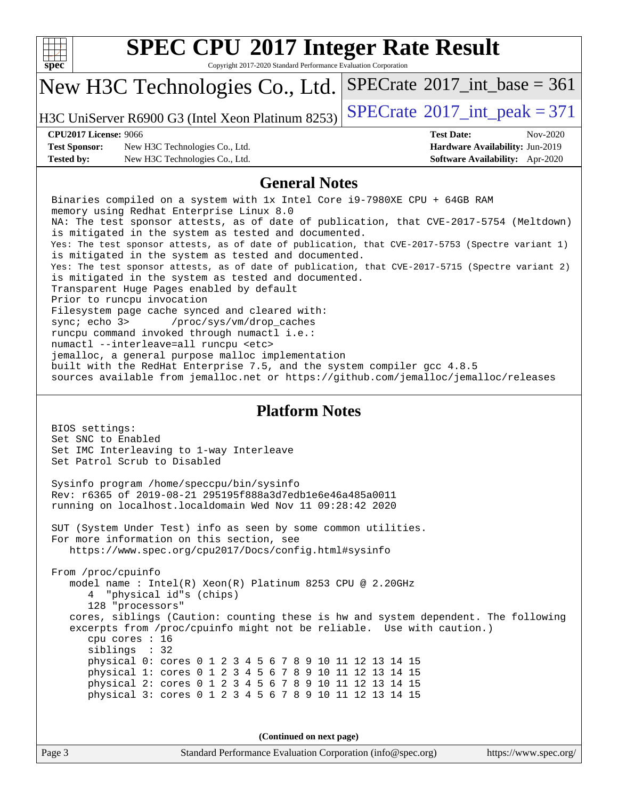| ÷<br>c |  |  |  |  |  |
|--------|--|--|--|--|--|

Copyright 2017-2020 Standard Performance Evaluation Corporation

## New H3C Technologies Co., Ltd.

H3C UniServer R6900 G3 (Intel Xeon Platinum  $8253$ ) [SPECrate](http://www.spec.org/auto/cpu2017/Docs/result-fields.html#SPECrate2017intpeak)<sup>®</sup>[2017\\_int\\_peak = 3](http://www.spec.org/auto/cpu2017/Docs/result-fields.html#SPECrate2017intpeak)71

 $SPECTate$ <sup>®</sup>[2017\\_int\\_base =](http://www.spec.org/auto/cpu2017/Docs/result-fields.html#SPECrate2017intbase) 361

**[Test Sponsor:](http://www.spec.org/auto/cpu2017/Docs/result-fields.html#TestSponsor)** New H3C Technologies Co., Ltd. **[Hardware Availability:](http://www.spec.org/auto/cpu2017/Docs/result-fields.html#HardwareAvailability)** Jun-2019 **[Tested by:](http://www.spec.org/auto/cpu2017/Docs/result-fields.html#Testedby)** New H3C Technologies Co., Ltd. **[Software Availability:](http://www.spec.org/auto/cpu2017/Docs/result-fields.html#SoftwareAvailability)** Apr-2020

**[CPU2017 License:](http://www.spec.org/auto/cpu2017/Docs/result-fields.html#CPU2017License)** 9066 **[Test Date:](http://www.spec.org/auto/cpu2017/Docs/result-fields.html#TestDate)** Nov-2020

#### **[General Notes](http://www.spec.org/auto/cpu2017/Docs/result-fields.html#GeneralNotes)**

 Binaries compiled on a system with 1x Intel Core i9-7980XE CPU + 64GB RAM memory using Redhat Enterprise Linux 8.0 NA: The test sponsor attests, as of date of publication, that CVE-2017-5754 (Meltdown) is mitigated in the system as tested and documented. Yes: The test sponsor attests, as of date of publication, that CVE-2017-5753 (Spectre variant 1) is mitigated in the system as tested and documented. Yes: The test sponsor attests, as of date of publication, that CVE-2017-5715 (Spectre variant 2) is mitigated in the system as tested and documented. Transparent Huge Pages enabled by default Prior to runcpu invocation Filesystem page cache synced and cleared with: sync; echo 3> /proc/sys/vm/drop\_caches runcpu command invoked through numactl i.e.: numactl --interleave=all runcpu <etc> jemalloc, a general purpose malloc implementation built with the RedHat Enterprise 7.5, and the system compiler gcc 4.8.5 sources available from jemalloc.net or<https://github.com/jemalloc/jemalloc/releases> **[Platform Notes](http://www.spec.org/auto/cpu2017/Docs/result-fields.html#PlatformNotes)** BIOS settings: Set SNC to Enabled Set IMC Interleaving to 1-way Interleave Set Patrol Scrub to Disabled Sysinfo program /home/speccpu/bin/sysinfo Rev: r6365 of 2019-08-21 295195f888a3d7edb1e6e46a485a0011

running on localhost.localdomain Wed Nov 11 09:28:42 2020

 SUT (System Under Test) info as seen by some common utilities. For more information on this section, see <https://www.spec.org/cpu2017/Docs/config.html#sysinfo>

 From /proc/cpuinfo model name : Intel(R) Xeon(R) Platinum 8253 CPU @ 2.20GHz 4 "physical id"s (chips) 128 "processors" cores, siblings (Caution: counting these is hw and system dependent. The following excerpts from /proc/cpuinfo might not be reliable. Use with caution.) cpu cores : 16 siblings : 32 physical 0: cores 0 1 2 3 4 5 6 7 8 9 10 11 12 13 14 15 physical 1: cores 0 1 2 3 4 5 6 7 8 9 10 11 12 13 14 15 physical 2: cores 0 1 2 3 4 5 6 7 8 9 10 11 12 13 14 15 physical 3: cores 0 1 2 3 4 5 6 7 8 9 10 11 12 13 14 15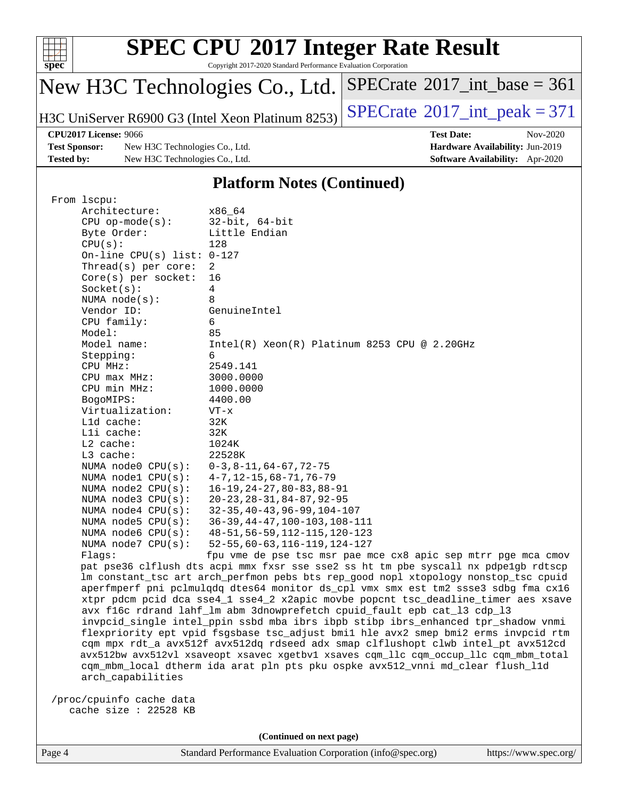

Copyright 2017-2020 Standard Performance Evaluation Corporation

# New H3C Technologies Co., Ltd.

H3C UniServer R6900 G3 (Intel Xeon Platinum 8253) [SPECrate](http://www.spec.org/auto/cpu2017/Docs/result-fields.html#SPECrate2017intpeak)®  $2017$ \_int\_peak = 371

 $SPECrate$ <sup>®</sup>[2017\\_int\\_base =](http://www.spec.org/auto/cpu2017/Docs/result-fields.html#SPECrate2017intbase) 361

**[Test Sponsor:](http://www.spec.org/auto/cpu2017/Docs/result-fields.html#TestSponsor)** New H3C Technologies Co., Ltd. **[Hardware Availability:](http://www.spec.org/auto/cpu2017/Docs/result-fields.html#HardwareAvailability)** Jun-2019 **[Tested by:](http://www.spec.org/auto/cpu2017/Docs/result-fields.html#Testedby)** New H3C Technologies Co., Ltd. **[Software Availability:](http://www.spec.org/auto/cpu2017/Docs/result-fields.html#SoftwareAvailability)** Apr-2020

**[CPU2017 License:](http://www.spec.org/auto/cpu2017/Docs/result-fields.html#CPU2017License)** 9066 **[Test Date:](http://www.spec.org/auto/cpu2017/Docs/result-fields.html#TestDate)** Nov-2020

#### **[Platform Notes \(Continued\)](http://www.spec.org/auto/cpu2017/Docs/result-fields.html#PlatformNotes)**

| From 1scpu:                  |                                                                                      |
|------------------------------|--------------------------------------------------------------------------------------|
| Architecture:                | x86 64                                                                               |
| $CPU$ op-mode( $s$ ):        | $32$ -bit, $64$ -bit                                                                 |
| Byte Order:                  | Little Endian                                                                        |
| CPU(s):                      | 128                                                                                  |
| On-line CPU(s) list: $0-127$ |                                                                                      |
| Thread(s) per core:          | 2                                                                                    |
| Core(s) per socket:          | 16                                                                                   |
| Socket(s):                   | 4                                                                                    |
| NUMA $node(s)$ :             | 8                                                                                    |
| Vendor ID:                   | GenuineIntel                                                                         |
| CPU family:                  | 6                                                                                    |
| Model:                       | 85                                                                                   |
| Model name:                  | $Intel(R)$ Xeon $(R)$ Platinum 8253 CPU @ 2.20GHz                                    |
| Stepping:                    | 6                                                                                    |
| CPU MHz:                     | 2549.141                                                                             |
| $CPU$ max $MHz$ :            | 3000.0000                                                                            |
| CPU min MHz:                 | 1000.0000                                                                            |
| BogoMIPS:                    | 4400.00                                                                              |
| Virtualization:              | $VT - x$                                                                             |
| L1d cache:                   | 32K                                                                                  |
| Lli cache:                   | 32K                                                                                  |
| L2 cache:                    | 1024K                                                                                |
| L3 cache:                    | 22528K                                                                               |
| NUMA $node0$ $CPU(s)$ :      | $0-3, 8-11, 64-67, 72-75$                                                            |
| NUMA nodel $CPU(s):$         | $4 - 7, 12 - 15, 68 - 71, 76 - 79$                                                   |
| NUMA $node2$ $CPU(s)$ :      | $16 - 19, 24 - 27, 80 - 83, 88 - 91$                                                 |
| NUMA $node3$ CPU $(s)$ :     | $20 - 23, 28 - 31, 84 - 87, 92 - 95$                                                 |
| NUMA $node4$ $CPU(s)$ :      | $32 - 35, 40 - 43, 96 - 99, 104 - 107$                                               |
| NUMA $node5$ $CPU(s):$       | $36 - 39, 44 - 47, 100 - 103, 108 - 111$                                             |
| NUMA $node6$ $CPU(s):$       | 48-51, 56-59, 112-115, 120-123                                                       |
| NUMA $node7$ CPU $(s)$ :     | $52 - 55, 60 - 63, 116 - 119, 124 - 127$                                             |
| Flaqs:                       | fpu vme de pse tsc msr pae mce cx8 apic sep mtrr pge mca cmov                        |
|                              | pat pse36 clflush dts acpi mmx fxsr sse sse2 ss ht tm pbe syscall nx pdpelgb rdtscp  |
|                              | lm constant_tsc art arch_perfmon pebs bts rep_good nopl xtopology nonstop_tsc cpuid  |
|                              | aperfmperf pni pclmulqdq dtes64 monitor ds_cpl vmx smx est tm2 ssse3 sdbg fma cx16   |
|                              | xtpr pdcm pcid dca sse4_1 sse4_2 x2apic movbe popcnt tsc_deadline_timer aes xsave    |
|                              | avx f16c rdrand lahf_lm abm 3dnowprefetch cpuid_fault epb cat_13 cdp_13              |
|                              | invpcid_single intel_ppin ssbd mba ibrs ibpb stibp ibrs_enhanced tpr_shadow vnmi     |
|                              | flexpriority ept vpid fsgsbase tsc_adjust bmil hle avx2 smep bmi2 erms invpcid rtm   |
|                              | cqm mpx rdt_a avx512f avx512dq rdseed adx smap clflushopt clwb intel_pt avx512cd     |
|                              | avx512bw avx512vl xsaveopt xsavec xgetbvl xsaves cqm_llc cqm_occup_llc cqm_mbm_total |
|                              | cqm_mbm_local dtherm ida arat pln pts pku ospke avx512_vnni md_clear flush_l1d       |
| arch_capabilities            |                                                                                      |
|                              |                                                                                      |
| /proc/cpuinfo cache data     |                                                                                      |
| cache size : $22528$ KB      |                                                                                      |
|                              |                                                                                      |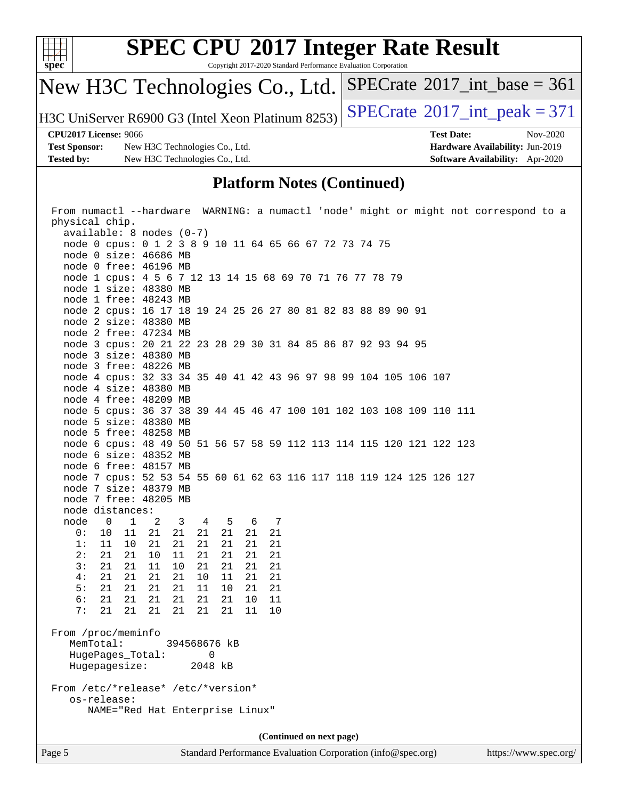

Copyright 2017-2020 Standard Performance Evaluation Corporation

New H3C Technologies Co., Ltd.

H3C UniServer R6900 G3 (Intel Xeon Platinum 8253)  $\left|$  [SPECrate](http://www.spec.org/auto/cpu2017/Docs/result-fields.html#SPECrate2017intpeak)®[2017\\_int\\_peak = 3](http://www.spec.org/auto/cpu2017/Docs/result-fields.html#SPECrate2017intpeak)71

 $SPECTate$ <sup>®</sup>[2017\\_int\\_base =](http://www.spec.org/auto/cpu2017/Docs/result-fields.html#SPECrate2017intbase) 361

**[Test Sponsor:](http://www.spec.org/auto/cpu2017/Docs/result-fields.html#TestSponsor)** New H3C Technologies Co., Ltd. **[Hardware Availability:](http://www.spec.org/auto/cpu2017/Docs/result-fields.html#HardwareAvailability)** Jun-2019 **[Tested by:](http://www.spec.org/auto/cpu2017/Docs/result-fields.html#Testedby)** New H3C Technologies Co., Ltd. **[Software Availability:](http://www.spec.org/auto/cpu2017/Docs/result-fields.html#SoftwareAvailability)** Apr-2020

**[CPU2017 License:](http://www.spec.org/auto/cpu2017/Docs/result-fields.html#CPU2017License)** 9066 **[Test Date:](http://www.spec.org/auto/cpu2017/Docs/result-fields.html#TestDate)** Nov-2020

#### **[Platform Notes \(Continued\)](http://www.spec.org/auto/cpu2017/Docs/result-fields.html#PlatformNotes)**

Page 5 Standard Performance Evaluation Corporation [\(info@spec.org\)](mailto:info@spec.org) <https://www.spec.org/>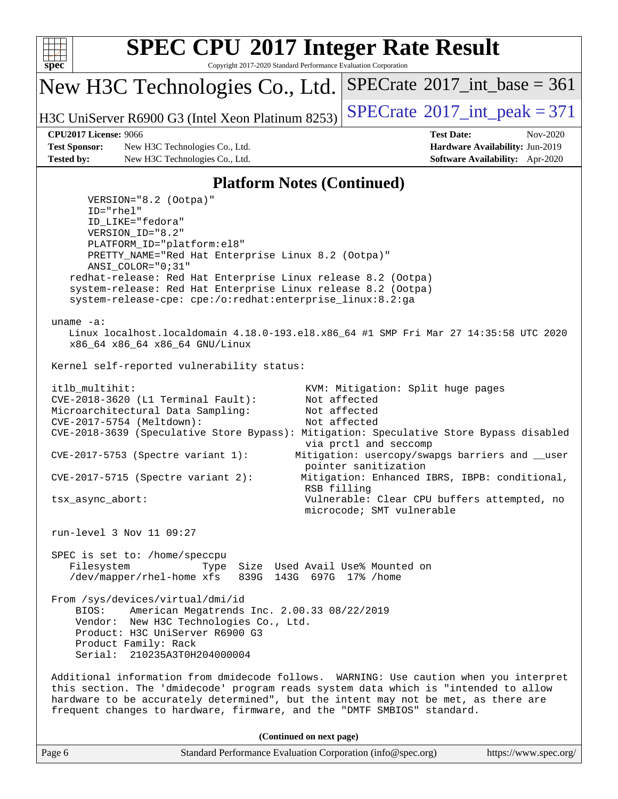

Copyright 2017-2020 Standard Performance Evaluation Corporation

New H3C Technologies Co., Ltd.

H3C UniServer R6900 G3 (Intel Xeon Platinum  $8253$ ) [SPECrate](http://www.spec.org/auto/cpu2017/Docs/result-fields.html#SPECrate2017intpeak)<sup>®</sup>[2017\\_int\\_peak = 3](http://www.spec.org/auto/cpu2017/Docs/result-fields.html#SPECrate2017intpeak)71

 $SPECTate$ <sup>®</sup>[2017\\_int\\_base =](http://www.spec.org/auto/cpu2017/Docs/result-fields.html#SPECrate2017intbase) 361

**[Test Sponsor:](http://www.spec.org/auto/cpu2017/Docs/result-fields.html#TestSponsor)** New H3C Technologies Co., Ltd. **[Hardware Availability:](http://www.spec.org/auto/cpu2017/Docs/result-fields.html#HardwareAvailability)** Jun-2019 **[Tested by:](http://www.spec.org/auto/cpu2017/Docs/result-fields.html#Testedby)** New H3C Technologies Co., Ltd. **[Software Availability:](http://www.spec.org/auto/cpu2017/Docs/result-fields.html#SoftwareAvailability)** Apr-2020

**[CPU2017 License:](http://www.spec.org/auto/cpu2017/Docs/result-fields.html#CPU2017License)** 9066 **[Test Date:](http://www.spec.org/auto/cpu2017/Docs/result-fields.html#TestDate)** Nov-2020

### **[Platform Notes \(Continued\)](http://www.spec.org/auto/cpu2017/Docs/result-fields.html#PlatformNotes)**

 VERSION="8.2 (Ootpa)" ID="rhel" ID\_LIKE="fedora" VERSION\_ID="8.2" PLATFORM\_ID="platform:el8" PRETTY\_NAME="Red Hat Enterprise Linux 8.2 (Ootpa)" ANSI\_COLOR="0;31" redhat-release: Red Hat Enterprise Linux release 8.2 (Ootpa) system-release: Red Hat Enterprise Linux release 8.2 (Ootpa) system-release-cpe: cpe:/o:redhat:enterprise\_linux:8.2:ga uname -a: Linux localhost.localdomain 4.18.0-193.el8.x86\_64 #1 SMP Fri Mar 27 14:35:58 UTC 2020 x86\_64 x86\_64 x86\_64 GNU/Linux Kernel self-reported vulnerability status: itlb\_multihit: KVM: Mitigation: Split huge pages CVE-2018-3620 (L1 Terminal Fault): Not affected Microarchitectural Data Sampling: Not affected CVE-2017-5754 (Meltdown): Not affected CVE-2018-3639 (Speculative Store Bypass): Mitigation: Speculative Store Bypass disabled via prctl and seccomp CVE-2017-5753 (Spectre variant 1): Mitigation: usercopy/swapgs barriers and \_\_user pointer sanitization CVE-2017-5715 (Spectre variant 2): Mitigation: Enhanced IBRS, IBPB: conditional, RSB filling tsx\_async\_abort: Vulnerable: Clear CPU buffers attempted, no microcode; SMT vulnerable run-level 3 Nov 11 09:27 SPEC is set to: /home/speccpu Filesystem Type Size Used Avail Use% Mounted on /dev/mapper/rhel-home xfs 839G 143G 697G 17% /home From /sys/devices/virtual/dmi/id BIOS: American Megatrends Inc. 2.00.33 08/22/2019 Vendor: New H3C Technologies Co., Ltd. Product: H3C UniServer R6900 G3 Product Family: Rack Serial: 210235A3T0H204000004 Additional information from dmidecode follows. WARNING: Use caution when you interpret this section. The 'dmidecode' program reads system data which is "intended to allow hardware to be accurately determined", but the intent may not be met, as there are frequent changes to hardware, firmware, and the "DMTF SMBIOS" standard.

| Page 6 | Standard Performance Evaluation Corporation (info@spec.org) | https://www.spec.org/ |
|--------|-------------------------------------------------------------|-----------------------|
|--------|-------------------------------------------------------------|-----------------------|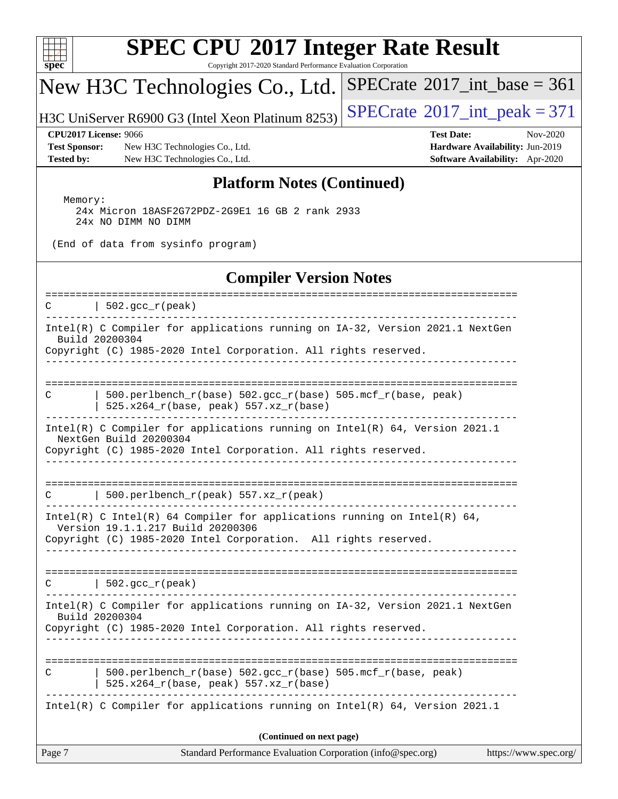

Copyright 2017-2020 Standard Performance Evaluation Corporation

## New H3C Technologies Co., Ltd.

H3C UniServer R6900 G3 (Intel Xeon Platinum 8253)  $\left|$  [SPECrate](http://www.spec.org/auto/cpu2017/Docs/result-fields.html#SPECrate2017intpeak)®[2017\\_int\\_peak = 3](http://www.spec.org/auto/cpu2017/Docs/result-fields.html#SPECrate2017intpeak)71

 $SPECTate$ <sup>®</sup>[2017\\_int\\_base =](http://www.spec.org/auto/cpu2017/Docs/result-fields.html#SPECrate2017intbase) 361

**[Test Sponsor:](http://www.spec.org/auto/cpu2017/Docs/result-fields.html#TestSponsor)** New H3C Technologies Co., Ltd. **[Hardware Availability:](http://www.spec.org/auto/cpu2017/Docs/result-fields.html#HardwareAvailability)** Jun-2019 **[Tested by:](http://www.spec.org/auto/cpu2017/Docs/result-fields.html#Testedby)** New H3C Technologies Co., Ltd. **[Software Availability:](http://www.spec.org/auto/cpu2017/Docs/result-fields.html#SoftwareAvailability)** Apr-2020

**[CPU2017 License:](http://www.spec.org/auto/cpu2017/Docs/result-fields.html#CPU2017License)** 9066 **[Test Date:](http://www.spec.org/auto/cpu2017/Docs/result-fields.html#TestDate)** Nov-2020

### **[Platform Notes \(Continued\)](http://www.spec.org/auto/cpu2017/Docs/result-fields.html#PlatformNotes)**

 Memory: 24x Micron 18ASF2G72PDZ-2G9E1 16 GB 2 rank 2933 24x NO DIMM NO DIMM

(End of data from sysinfo program)

#### **[Compiler Version Notes](http://www.spec.org/auto/cpu2017/Docs/result-fields.html#CompilerVersionNotes)**

Page 7 Standard Performance Evaluation Corporation [\(info@spec.org\)](mailto:info@spec.org) <https://www.spec.org/> ============================================================================== C |  $502 \text{ qcc r}$ (peak) ------------------------------------------------------------------------------ Intel(R) C Compiler for applications running on IA-32, Version 2021.1 NextGen Build 20200304 Copyright (C) 1985-2020 Intel Corporation. All rights reserved. ------------------------------------------------------------------------------ ============================================================================== C | 500.perlbench\_r(base) 502.gcc\_r(base) 505.mcf\_r(base, peak) | 525.x264\_r(base, peak) 557.xz\_r(base) ------------------------------------------------------------------------------ Intel(R) C Compiler for applications running on Intel(R) 64, Version 2021.1 NextGen Build 20200304 Copyright (C) 1985-2020 Intel Corporation. All rights reserved. ------------------------------------------------------------------------------ ==============================================================================  $C$  | 500.perlbench\_r(peak) 557.xz\_r(peak) ------------------------------------------------------------------------------ Intel(R) C Intel(R) 64 Compiler for applications running on Intel(R) 64, Version 19.1.1.217 Build 20200306 Copyright (C) 1985-2020 Intel Corporation. All rights reserved. ------------------------------------------------------------------------------ ==============================================================================  $C$  | 502.gcc\_r(peak) ------------------------------------------------------------------------------ Intel(R) C Compiler for applications running on IA-32, Version 2021.1 NextGen Build 20200304 Copyright (C) 1985-2020 Intel Corporation. All rights reserved. ------------------------------------------------------------------------------ ============================================================================== C | 500.perlbench r(base) 502.gcc r(base) 505.mcf r(base, peak) | 525.x264\_r(base, peak) 557.xz\_r(base) ------------------------------------------------------------------------------ Intel(R) C Compiler for applications running on Intel(R) 64, Version 2021.1 **(Continued on next page)**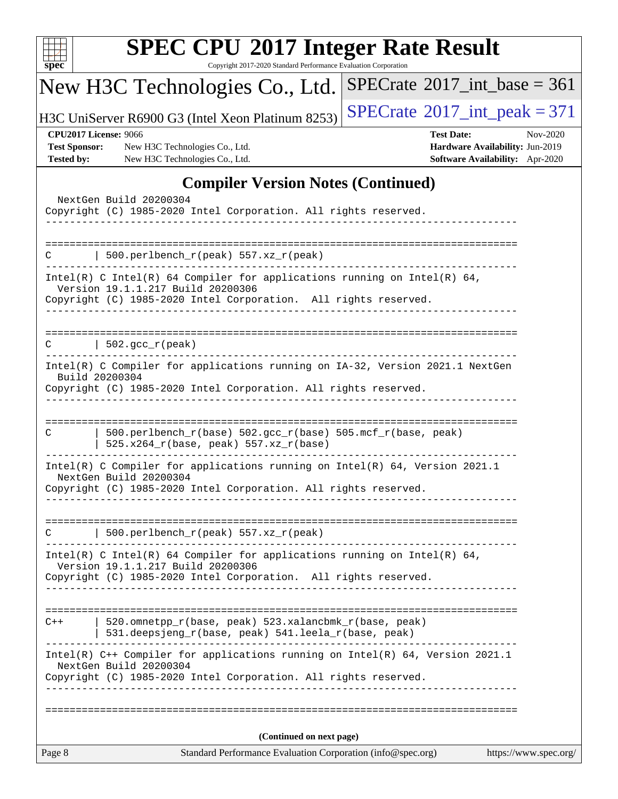| $spec^*$                                  | <b>SPEC CPU®2017 Integer Rate Result</b><br>Copyright 2017-2020 Standard Performance Evaluation Corporation                                                                      |                                                                                                     |
|-------------------------------------------|----------------------------------------------------------------------------------------------------------------------------------------------------------------------------------|-----------------------------------------------------------------------------------------------------|
|                                           | New H3C Technologies Co., Ltd.                                                                                                                                                   | $SPECTate$ <sup>®</sup> 2017_int_base = 361                                                         |
|                                           | H3C UniServer R6900 G3 (Intel Xeon Platinum 8253)                                                                                                                                | $SPECTate@2017_int\_peak = 371$                                                                     |
| <b>Test Sponsor:</b><br><b>Tested by:</b> | <b>CPU2017 License: 9066</b><br>New H3C Technologies Co., Ltd.<br>New H3C Technologies Co., Ltd.                                                                                 | <b>Test Date:</b><br>Nov-2020<br>Hardware Availability: Jun-2019<br>Software Availability: Apr-2020 |
|                                           | <b>Compiler Version Notes (Continued)</b>                                                                                                                                        |                                                                                                     |
|                                           | NextGen Build 20200304<br>Copyright (C) 1985-2020 Intel Corporation. All rights reserved.                                                                                        |                                                                                                     |
| C                                         | 500.perlbench_r(peak) 557.xz_r(peak)                                                                                                                                             |                                                                                                     |
|                                           | Intel(R) C Intel(R) 64 Compiler for applications running on Intel(R) 64,<br>Version 19.1.1.217 Build 20200306<br>Copyright (C) 1985-2020 Intel Corporation. All rights reserved. |                                                                                                     |
| C                                         | $\vert$ 502.gcc_r(peak)                                                                                                                                                          |                                                                                                     |
|                                           | Intel(R) C Compiler for applications running on IA-32, Version 2021.1 NextGen<br>Build 20200304<br>Copyright (C) 1985-2020 Intel Corporation. All rights reserved.               |                                                                                                     |
| С                                         | 500.perlbench_r(base) 502.gcc_r(base) 505.mcf_r(base, peak)<br>525.x264_r(base, peak) 557.xz_r(base)                                                                             |                                                                                                     |
|                                           | Intel(R) C Compiler for applications running on Intel(R) 64, Version 2021.1<br>NextGen Build 20200304<br>Copyright (C) 1985-2020 Intel Corporation. All rights reserved.         |                                                                                                     |
| C                                         | 500.perlbench_r(peak) 557.xz_r(peak)                                                                                                                                             |                                                                                                     |
|                                           | Intel(R) C Intel(R) 64 Compiler for applications running on Intel(R) 64,<br>Version 19.1.1.217 Build 20200306<br>Copyright (C) 1985-2020 Intel Corporation. All rights reserved. |                                                                                                     |
| $C++$                                     | 520.omnetpp_r(base, peak) 523.xalancbmk_r(base, peak)<br>531.deepsjeng_r(base, peak) 541.leela_r(base, peak)                                                                     |                                                                                                     |
|                                           | Intel(R) $C++$ Compiler for applications running on Intel(R) 64, Version 2021.1<br>NextGen Build 20200304<br>Copyright (C) 1985-2020 Intel Corporation. All rights reserved.     |                                                                                                     |
|                                           |                                                                                                                                                                                  |                                                                                                     |
| Page 8                                    | (Continued on next page)<br>Standard Performance Evaluation Corporation (info@spec.org)                                                                                          | https://www.spec.org/                                                                               |
|                                           |                                                                                                                                                                                  |                                                                                                     |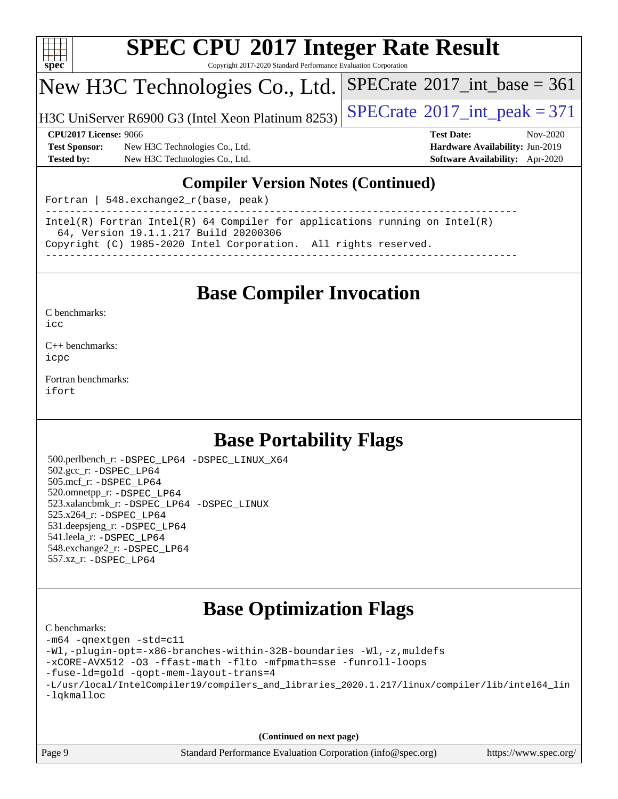

Copyright 2017-2020 Standard Performance Evaluation Corporation

## New H3C Technologies Co., Ltd.

H3C UniServer R6900 G3 (Intel Xeon Platinum 8253)  $\left|$  [SPECrate](http://www.spec.org/auto/cpu2017/Docs/result-fields.html#SPECrate2017intpeak)®[2017\\_int\\_peak = 3](http://www.spec.org/auto/cpu2017/Docs/result-fields.html#SPECrate2017intpeak)71

 $SPECTate$ <sup>®</sup>[2017\\_int\\_base =](http://www.spec.org/auto/cpu2017/Docs/result-fields.html#SPECrate2017intbase) 361

**[Test Sponsor:](http://www.spec.org/auto/cpu2017/Docs/result-fields.html#TestSponsor)** New H3C Technologies Co., Ltd. **[Hardware Availability:](http://www.spec.org/auto/cpu2017/Docs/result-fields.html#HardwareAvailability)** Jun-2019 **[Tested by:](http://www.spec.org/auto/cpu2017/Docs/result-fields.html#Testedby)** New H3C Technologies Co., Ltd. **[Software Availability:](http://www.spec.org/auto/cpu2017/Docs/result-fields.html#SoftwareAvailability)** Apr-2020

**[CPU2017 License:](http://www.spec.org/auto/cpu2017/Docs/result-fields.html#CPU2017License)** 9066 **[Test Date:](http://www.spec.org/auto/cpu2017/Docs/result-fields.html#TestDate)** Nov-2020

### **[Compiler Version Notes \(Continued\)](http://www.spec.org/auto/cpu2017/Docs/result-fields.html#CompilerVersionNotes)**

Fortran | 548.exchange2\_r(base, peak)

------------------------------------------------------------------------------ Intel(R) Fortran Intel(R) 64 Compiler for applications running on Intel(R) 64, Version 19.1.1.217 Build 20200306 Copyright (C) 1985-2020 Intel Corporation. All rights reserved. ------------------------------------------------------------------------------

## **[Base Compiler Invocation](http://www.spec.org/auto/cpu2017/Docs/result-fields.html#BaseCompilerInvocation)**

[C benchmarks](http://www.spec.org/auto/cpu2017/Docs/result-fields.html#Cbenchmarks):

[icc](http://www.spec.org/cpu2017/results/res2020q4/cpu2017-20201116-24395.flags.html#user_CCbase_intel_icc_66fc1ee009f7361af1fbd72ca7dcefbb700085f36577c54f309893dd4ec40d12360134090235512931783d35fd58c0460139e722d5067c5574d8eaf2b3e37e92)

[C++ benchmarks:](http://www.spec.org/auto/cpu2017/Docs/result-fields.html#CXXbenchmarks) [icpc](http://www.spec.org/cpu2017/results/res2020q4/cpu2017-20201116-24395.flags.html#user_CXXbase_intel_icpc_c510b6838c7f56d33e37e94d029a35b4a7bccf4766a728ee175e80a419847e808290a9b78be685c44ab727ea267ec2f070ec5dc83b407c0218cded6866a35d07)

[Fortran benchmarks](http://www.spec.org/auto/cpu2017/Docs/result-fields.html#Fortranbenchmarks): [ifort](http://www.spec.org/cpu2017/results/res2020q4/cpu2017-20201116-24395.flags.html#user_FCbase_intel_ifort_8111460550e3ca792625aed983ce982f94888b8b503583aa7ba2b8303487b4d8a21a13e7191a45c5fd58ff318f48f9492884d4413fa793fd88dd292cad7027ca)

## **[Base Portability Flags](http://www.spec.org/auto/cpu2017/Docs/result-fields.html#BasePortabilityFlags)**

 500.perlbench\_r: [-DSPEC\\_LP64](http://www.spec.org/cpu2017/results/res2020q4/cpu2017-20201116-24395.flags.html#b500.perlbench_r_basePORTABILITY_DSPEC_LP64) [-DSPEC\\_LINUX\\_X64](http://www.spec.org/cpu2017/results/res2020q4/cpu2017-20201116-24395.flags.html#b500.perlbench_r_baseCPORTABILITY_DSPEC_LINUX_X64) 502.gcc\_r: [-DSPEC\\_LP64](http://www.spec.org/cpu2017/results/res2020q4/cpu2017-20201116-24395.flags.html#suite_basePORTABILITY502_gcc_r_DSPEC_LP64) 505.mcf\_r: [-DSPEC\\_LP64](http://www.spec.org/cpu2017/results/res2020q4/cpu2017-20201116-24395.flags.html#suite_basePORTABILITY505_mcf_r_DSPEC_LP64) 520.omnetpp\_r: [-DSPEC\\_LP64](http://www.spec.org/cpu2017/results/res2020q4/cpu2017-20201116-24395.flags.html#suite_basePORTABILITY520_omnetpp_r_DSPEC_LP64) 523.xalancbmk\_r: [-DSPEC\\_LP64](http://www.spec.org/cpu2017/results/res2020q4/cpu2017-20201116-24395.flags.html#suite_basePORTABILITY523_xalancbmk_r_DSPEC_LP64) [-DSPEC\\_LINUX](http://www.spec.org/cpu2017/results/res2020q4/cpu2017-20201116-24395.flags.html#b523.xalancbmk_r_baseCXXPORTABILITY_DSPEC_LINUX) 525.x264\_r: [-DSPEC\\_LP64](http://www.spec.org/cpu2017/results/res2020q4/cpu2017-20201116-24395.flags.html#suite_basePORTABILITY525_x264_r_DSPEC_LP64) 531.deepsjeng\_r: [-DSPEC\\_LP64](http://www.spec.org/cpu2017/results/res2020q4/cpu2017-20201116-24395.flags.html#suite_basePORTABILITY531_deepsjeng_r_DSPEC_LP64) 541.leela\_r: [-DSPEC\\_LP64](http://www.spec.org/cpu2017/results/res2020q4/cpu2017-20201116-24395.flags.html#suite_basePORTABILITY541_leela_r_DSPEC_LP64) 548.exchange2\_r: [-DSPEC\\_LP64](http://www.spec.org/cpu2017/results/res2020q4/cpu2017-20201116-24395.flags.html#suite_basePORTABILITY548_exchange2_r_DSPEC_LP64) 557.xz\_r: [-DSPEC\\_LP64](http://www.spec.org/cpu2017/results/res2020q4/cpu2017-20201116-24395.flags.html#suite_basePORTABILITY557_xz_r_DSPEC_LP64)

# **[Base Optimization Flags](http://www.spec.org/auto/cpu2017/Docs/result-fields.html#BaseOptimizationFlags)**

[C benchmarks](http://www.spec.org/auto/cpu2017/Docs/result-fields.html#Cbenchmarks):

```
-m64 -qnextgen -std=c11
-Wl,-plugin-opt=-x86-branches-within-32B-boundaries -Wl,-z,muldefs
-xCORE-AVX512 -O3 -ffast-math -flto -mfpmath=sse -funroll-loops
-fuse-ld=gold -qopt-mem-layout-trans=4
-L/usr/local/IntelCompiler19/compilers_and_libraries_2020.1.217/linux/compiler/lib/intel64_lin
-lqkmalloc
```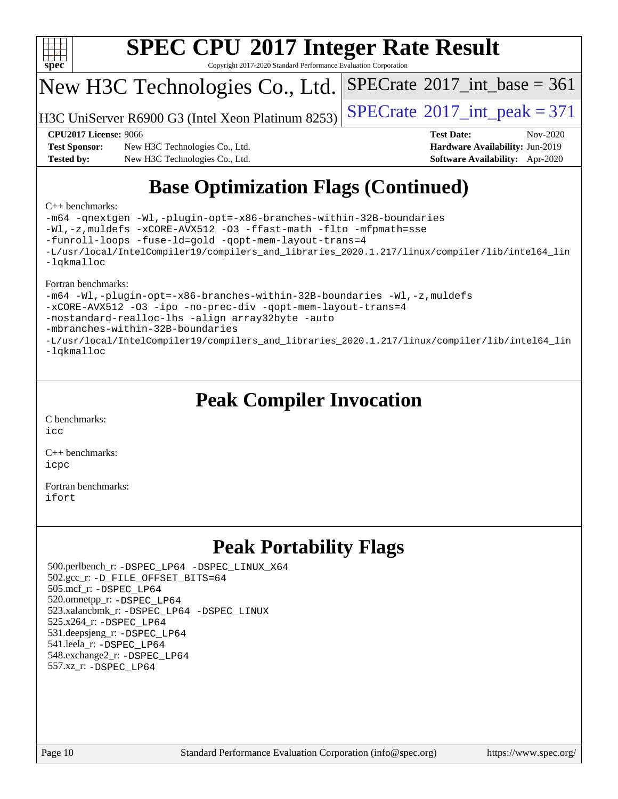

Copyright 2017-2020 Standard Performance Evaluation Corporation

## New H3C Technologies Co., Ltd.

H3C UniServer R6900 G3 (Intel Xeon Platinum 8253)  $\left|$  [SPECrate](http://www.spec.org/auto/cpu2017/Docs/result-fields.html#SPECrate2017intpeak)®[2017\\_int\\_peak = 3](http://www.spec.org/auto/cpu2017/Docs/result-fields.html#SPECrate2017intpeak)71

 $SPECTate$ <sup>®</sup>[2017\\_int\\_base =](http://www.spec.org/auto/cpu2017/Docs/result-fields.html#SPECrate2017intbase) 361

**[Test Sponsor:](http://www.spec.org/auto/cpu2017/Docs/result-fields.html#TestSponsor)** New H3C Technologies Co., Ltd. **[Hardware Availability:](http://www.spec.org/auto/cpu2017/Docs/result-fields.html#HardwareAvailability)** Jun-2019 **[Tested by:](http://www.spec.org/auto/cpu2017/Docs/result-fields.html#Testedby)** New H3C Technologies Co., Ltd. **[Software Availability:](http://www.spec.org/auto/cpu2017/Docs/result-fields.html#SoftwareAvailability)** Apr-2020

**[CPU2017 License:](http://www.spec.org/auto/cpu2017/Docs/result-fields.html#CPU2017License)** 9066 **[Test Date:](http://www.spec.org/auto/cpu2017/Docs/result-fields.html#TestDate)** Nov-2020

# **[Base Optimization Flags \(Continued\)](http://www.spec.org/auto/cpu2017/Docs/result-fields.html#BaseOptimizationFlags)**

#### [C++ benchmarks:](http://www.spec.org/auto/cpu2017/Docs/result-fields.html#CXXbenchmarks)

[-m64](http://www.spec.org/cpu2017/results/res2020q4/cpu2017-20201116-24395.flags.html#user_CXXbase_m64-icc) [-qnextgen](http://www.spec.org/cpu2017/results/res2020q4/cpu2017-20201116-24395.flags.html#user_CXXbase_f-qnextgen) [-Wl,-plugin-opt=-x86-branches-within-32B-boundaries](http://www.spec.org/cpu2017/results/res2020q4/cpu2017-20201116-24395.flags.html#user_CXXbase_f-x86-branches-within-32B-boundaries_0098b4e4317ae60947b7b728078a624952a08ac37a3c797dfb4ffeb399e0c61a9dd0f2f44ce917e9361fb9076ccb15e7824594512dd315205382d84209e912f3) [-Wl,-z,muldefs](http://www.spec.org/cpu2017/results/res2020q4/cpu2017-20201116-24395.flags.html#user_CXXbase_link_force_multiple1_b4cbdb97b34bdee9ceefcfe54f4c8ea74255f0b02a4b23e853cdb0e18eb4525ac79b5a88067c842dd0ee6996c24547a27a4b99331201badda8798ef8a743f577) [-xCORE-AVX512](http://www.spec.org/cpu2017/results/res2020q4/cpu2017-20201116-24395.flags.html#user_CXXbase_f-xCORE-AVX512) [-O3](http://www.spec.org/cpu2017/results/res2020q4/cpu2017-20201116-24395.flags.html#user_CXXbase_f-O3) [-ffast-math](http://www.spec.org/cpu2017/results/res2020q4/cpu2017-20201116-24395.flags.html#user_CXXbase_f-ffast-math) [-flto](http://www.spec.org/cpu2017/results/res2020q4/cpu2017-20201116-24395.flags.html#user_CXXbase_f-flto) [-mfpmath=sse](http://www.spec.org/cpu2017/results/res2020q4/cpu2017-20201116-24395.flags.html#user_CXXbase_f-mfpmath_70eb8fac26bde974f8ab713bc9086c5621c0b8d2f6c86f38af0bd7062540daf19db5f3a066d8c6684be05d84c9b6322eb3b5be6619d967835195b93d6c02afa1) [-funroll-loops](http://www.spec.org/cpu2017/results/res2020q4/cpu2017-20201116-24395.flags.html#user_CXXbase_f-funroll-loops) [-fuse-ld=gold](http://www.spec.org/cpu2017/results/res2020q4/cpu2017-20201116-24395.flags.html#user_CXXbase_f-fuse-ld_920b3586e2b8c6e0748b9c84fa9b744736ba725a32cab14ad8f3d4ad28eecb2f59d1144823d2e17006539a88734fe1fc08fc3035f7676166309105a78aaabc32) [-qopt-mem-layout-trans=4](http://www.spec.org/cpu2017/results/res2020q4/cpu2017-20201116-24395.flags.html#user_CXXbase_f-qopt-mem-layout-trans_fa39e755916c150a61361b7846f310bcdf6f04e385ef281cadf3647acec3f0ae266d1a1d22d972a7087a248fd4e6ca390a3634700869573d231a252c784941a8) [-L/usr/local/IntelCompiler19/compilers\\_and\\_libraries\\_2020.1.217/linux/compiler/lib/intel64\\_lin](http://www.spec.org/cpu2017/results/res2020q4/cpu2017-20201116-24395.flags.html#user_CXXbase_linkpath_2cb6f503891ebf8baee7515f4e7d4ec1217444d1d05903cc0091ac4158de400651d2b2313a9fa414cb8a8f0e16ab029634f5c6db340f400369c190d4db8a54a0) [-lqkmalloc](http://www.spec.org/cpu2017/results/res2020q4/cpu2017-20201116-24395.flags.html#user_CXXbase_qkmalloc_link_lib_79a818439969f771c6bc311cfd333c00fc099dad35c030f5aab9dda831713d2015205805422f83de8875488a2991c0a156aaa600e1f9138f8fc37004abc96dc5)

#### [Fortran benchmarks:](http://www.spec.org/auto/cpu2017/Docs/result-fields.html#Fortranbenchmarks)

[-m64](http://www.spec.org/cpu2017/results/res2020q4/cpu2017-20201116-24395.flags.html#user_FCbase_m64-icc) [-Wl,-plugin-opt=-x86-branches-within-32B-boundaries](http://www.spec.org/cpu2017/results/res2020q4/cpu2017-20201116-24395.flags.html#user_FCbase_f-x86-branches-within-32B-boundaries_0098b4e4317ae60947b7b728078a624952a08ac37a3c797dfb4ffeb399e0c61a9dd0f2f44ce917e9361fb9076ccb15e7824594512dd315205382d84209e912f3) [-Wl,-z,muldefs](http://www.spec.org/cpu2017/results/res2020q4/cpu2017-20201116-24395.flags.html#user_FCbase_link_force_multiple1_b4cbdb97b34bdee9ceefcfe54f4c8ea74255f0b02a4b23e853cdb0e18eb4525ac79b5a88067c842dd0ee6996c24547a27a4b99331201badda8798ef8a743f577) [-xCORE-AVX512](http://www.spec.org/cpu2017/results/res2020q4/cpu2017-20201116-24395.flags.html#user_FCbase_f-xCORE-AVX512) [-O3](http://www.spec.org/cpu2017/results/res2020q4/cpu2017-20201116-24395.flags.html#user_FCbase_f-O3) [-ipo](http://www.spec.org/cpu2017/results/res2020q4/cpu2017-20201116-24395.flags.html#user_FCbase_f-ipo) [-no-prec-div](http://www.spec.org/cpu2017/results/res2020q4/cpu2017-20201116-24395.flags.html#user_FCbase_f-no-prec-div) [-qopt-mem-layout-trans=4](http://www.spec.org/cpu2017/results/res2020q4/cpu2017-20201116-24395.flags.html#user_FCbase_f-qopt-mem-layout-trans_fa39e755916c150a61361b7846f310bcdf6f04e385ef281cadf3647acec3f0ae266d1a1d22d972a7087a248fd4e6ca390a3634700869573d231a252c784941a8) [-nostandard-realloc-lhs](http://www.spec.org/cpu2017/results/res2020q4/cpu2017-20201116-24395.flags.html#user_FCbase_f_2003_std_realloc_82b4557e90729c0f113870c07e44d33d6f5a304b4f63d4c15d2d0f1fab99f5daaed73bdb9275d9ae411527f28b936061aa8b9c8f2d63842963b95c9dd6426b8a) [-align array32byte](http://www.spec.org/cpu2017/results/res2020q4/cpu2017-20201116-24395.flags.html#user_FCbase_align_array32byte_b982fe038af199962ba9a80c053b8342c548c85b40b8e86eb3cc33dee0d7986a4af373ac2d51c3f7cf710a18d62fdce2948f201cd044323541f22fc0fffc51b6) [-auto](http://www.spec.org/cpu2017/results/res2020q4/cpu2017-20201116-24395.flags.html#user_FCbase_f-auto) [-mbranches-within-32B-boundaries](http://www.spec.org/cpu2017/results/res2020q4/cpu2017-20201116-24395.flags.html#user_FCbase_f-mbranches-within-32B-boundaries) [-L/usr/local/IntelCompiler19/compilers\\_and\\_libraries\\_2020.1.217/linux/compiler/lib/intel64\\_lin](http://www.spec.org/cpu2017/results/res2020q4/cpu2017-20201116-24395.flags.html#user_FCbase_linkpath_2cb6f503891ebf8baee7515f4e7d4ec1217444d1d05903cc0091ac4158de400651d2b2313a9fa414cb8a8f0e16ab029634f5c6db340f400369c190d4db8a54a0) [-lqkmalloc](http://www.spec.org/cpu2017/results/res2020q4/cpu2017-20201116-24395.flags.html#user_FCbase_qkmalloc_link_lib_79a818439969f771c6bc311cfd333c00fc099dad35c030f5aab9dda831713d2015205805422f83de8875488a2991c0a156aaa600e1f9138f8fc37004abc96dc5)

## **[Peak Compiler Invocation](http://www.spec.org/auto/cpu2017/Docs/result-fields.html#PeakCompilerInvocation)**

[C benchmarks](http://www.spec.org/auto/cpu2017/Docs/result-fields.html#Cbenchmarks): [icc](http://www.spec.org/cpu2017/results/res2020q4/cpu2017-20201116-24395.flags.html#user_CCpeak_intel_icc_66fc1ee009f7361af1fbd72ca7dcefbb700085f36577c54f309893dd4ec40d12360134090235512931783d35fd58c0460139e722d5067c5574d8eaf2b3e37e92)

[C++ benchmarks:](http://www.spec.org/auto/cpu2017/Docs/result-fields.html#CXXbenchmarks) [icpc](http://www.spec.org/cpu2017/results/res2020q4/cpu2017-20201116-24395.flags.html#user_CXXpeak_intel_icpc_c510b6838c7f56d33e37e94d029a35b4a7bccf4766a728ee175e80a419847e808290a9b78be685c44ab727ea267ec2f070ec5dc83b407c0218cded6866a35d07)

[Fortran benchmarks](http://www.spec.org/auto/cpu2017/Docs/result-fields.html#Fortranbenchmarks): [ifort](http://www.spec.org/cpu2017/results/res2020q4/cpu2017-20201116-24395.flags.html#user_FCpeak_intel_ifort_8111460550e3ca792625aed983ce982f94888b8b503583aa7ba2b8303487b4d8a21a13e7191a45c5fd58ff318f48f9492884d4413fa793fd88dd292cad7027ca)

## **[Peak Portability Flags](http://www.spec.org/auto/cpu2017/Docs/result-fields.html#PeakPortabilityFlags)**

 500.perlbench\_r: [-DSPEC\\_LP64](http://www.spec.org/cpu2017/results/res2020q4/cpu2017-20201116-24395.flags.html#b500.perlbench_r_peakPORTABILITY_DSPEC_LP64) [-DSPEC\\_LINUX\\_X64](http://www.spec.org/cpu2017/results/res2020q4/cpu2017-20201116-24395.flags.html#b500.perlbench_r_peakCPORTABILITY_DSPEC_LINUX_X64) 502.gcc\_r: [-D\\_FILE\\_OFFSET\\_BITS=64](http://www.spec.org/cpu2017/results/res2020q4/cpu2017-20201116-24395.flags.html#user_peakPORTABILITY502_gcc_r_file_offset_bits_64_5ae949a99b284ddf4e95728d47cb0843d81b2eb0e18bdfe74bbf0f61d0b064f4bda2f10ea5eb90e1dcab0e84dbc592acfc5018bc955c18609f94ddb8d550002c) 505.mcf\_r: [-DSPEC\\_LP64](http://www.spec.org/cpu2017/results/res2020q4/cpu2017-20201116-24395.flags.html#suite_peakPORTABILITY505_mcf_r_DSPEC_LP64) 520.omnetpp\_r: [-DSPEC\\_LP64](http://www.spec.org/cpu2017/results/res2020q4/cpu2017-20201116-24395.flags.html#suite_peakPORTABILITY520_omnetpp_r_DSPEC_LP64) 523.xalancbmk\_r: [-DSPEC\\_LP64](http://www.spec.org/cpu2017/results/res2020q4/cpu2017-20201116-24395.flags.html#suite_peakPORTABILITY523_xalancbmk_r_DSPEC_LP64) [-DSPEC\\_LINUX](http://www.spec.org/cpu2017/results/res2020q4/cpu2017-20201116-24395.flags.html#b523.xalancbmk_r_peakCXXPORTABILITY_DSPEC_LINUX) 525.x264\_r: [-DSPEC\\_LP64](http://www.spec.org/cpu2017/results/res2020q4/cpu2017-20201116-24395.flags.html#suite_peakPORTABILITY525_x264_r_DSPEC_LP64) 531.deepsjeng\_r: [-DSPEC\\_LP64](http://www.spec.org/cpu2017/results/res2020q4/cpu2017-20201116-24395.flags.html#suite_peakPORTABILITY531_deepsjeng_r_DSPEC_LP64) 541.leela\_r: [-DSPEC\\_LP64](http://www.spec.org/cpu2017/results/res2020q4/cpu2017-20201116-24395.flags.html#suite_peakPORTABILITY541_leela_r_DSPEC_LP64) 548.exchange2\_r: [-DSPEC\\_LP64](http://www.spec.org/cpu2017/results/res2020q4/cpu2017-20201116-24395.flags.html#suite_peakPORTABILITY548_exchange2_r_DSPEC_LP64) 557.xz\_r: [-DSPEC\\_LP64](http://www.spec.org/cpu2017/results/res2020q4/cpu2017-20201116-24395.flags.html#suite_peakPORTABILITY557_xz_r_DSPEC_LP64)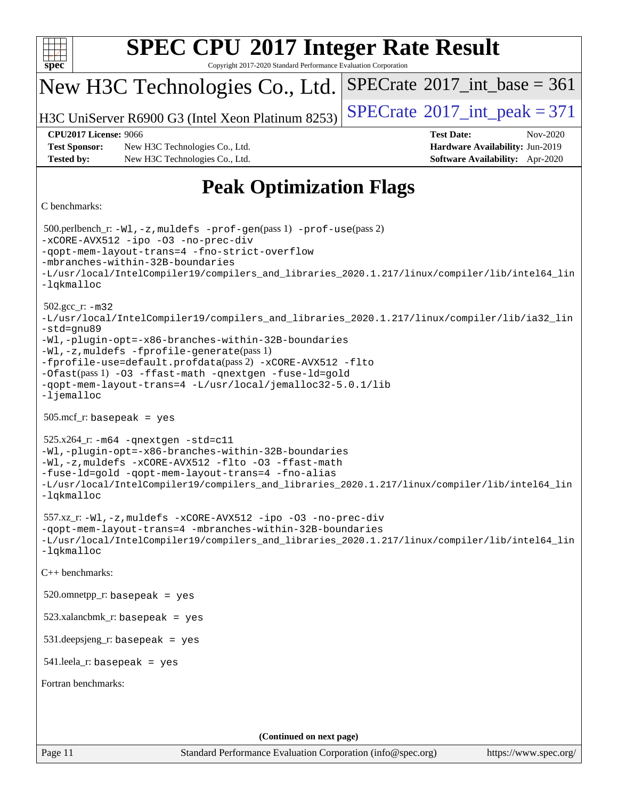